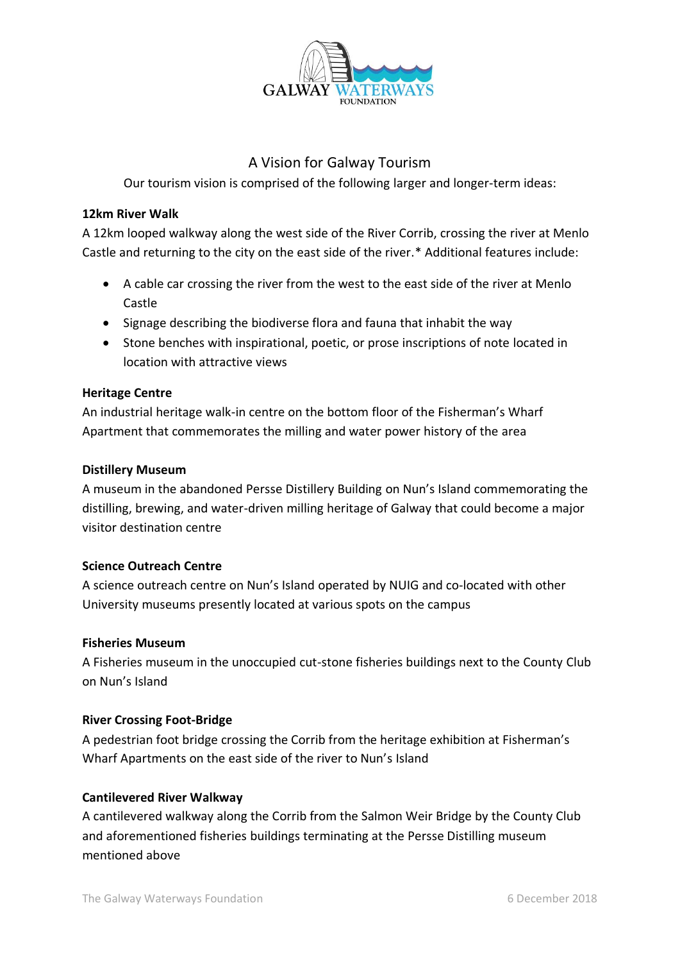

# A Vision for Galway Tourism

Our tourism vision is comprised of the following larger and longer-term ideas:

#### **12km River Walk**

A 12km looped walkway along the west side of the River Corrib, crossing the river at Menlo Castle and returning to the city on the east side of the river.\* Additional features include:

- A cable car crossing the river from the west to the east side of the river at Menlo Castle
- Signage describing the biodiverse flora and fauna that inhabit the way
- Stone benches with inspirational, poetic, or prose inscriptions of note located in location with attractive views

#### **Heritage Centre**

An industrial heritage walk-in centre on the bottom floor of the Fisherman's Wharf Apartment that commemorates the milling and water power history of the area

#### **Distillery Museum**

A museum in the abandoned Persse Distillery Building on Nun's Island commemorating the distilling, brewing, and water-driven milling heritage of Galway that could become a major visitor destination centre

### **Science Outreach Centre**

A science outreach centre on Nun's Island operated by NUIG and co-located with other University museums presently located at various spots on the campus

### **Fisheries Museum**

A Fisheries museum in the unoccupied cut-stone fisheries buildings next to the County Club on Nun's Island

### **River Crossing Foot-Bridge**

A pedestrian foot bridge crossing the Corrib from the heritage exhibition at Fisherman's Wharf Apartments on the east side of the river to Nun's Island

### **Cantilevered River Walkway**

A cantilevered walkway along the Corrib from the Salmon Weir Bridge by the County Club and aforementioned fisheries buildings terminating at the Persse Distilling museum mentioned above